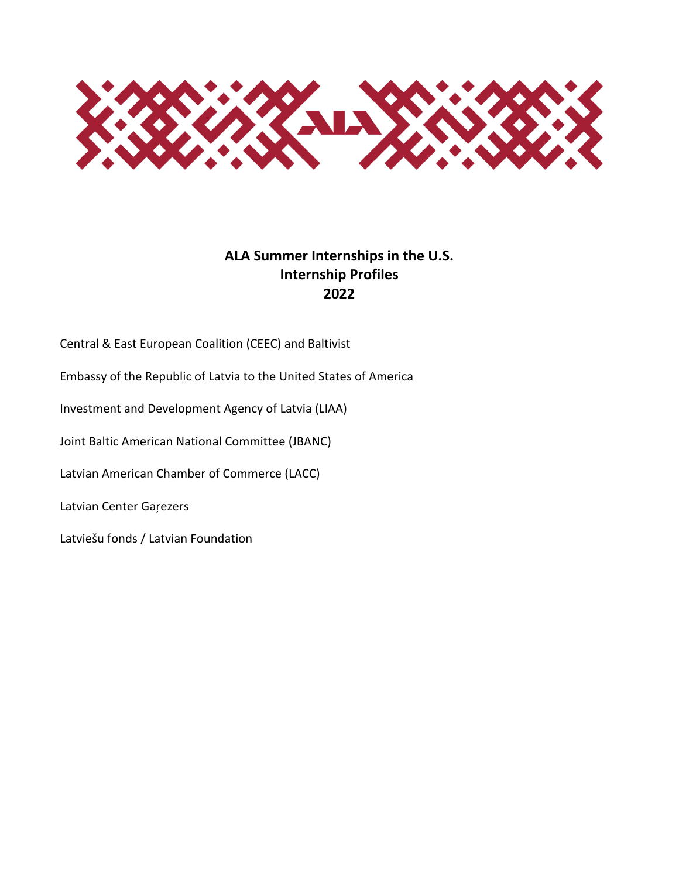

#### **ALA Summer Internships in the U.S. Internship Profiles 2022**

Central & East European Coalition (CEEC) and Baltivist

Embassy of the Republic of Latvia to the United States of America

Investment and Development Agency of Latvia (LIAA)

Joint Baltic American National Committee (JBANC)

Latvian American Chamber of Commerce (LACC)

Latvian Center Gaŗezers

Latviešu fonds / Latvian Foundation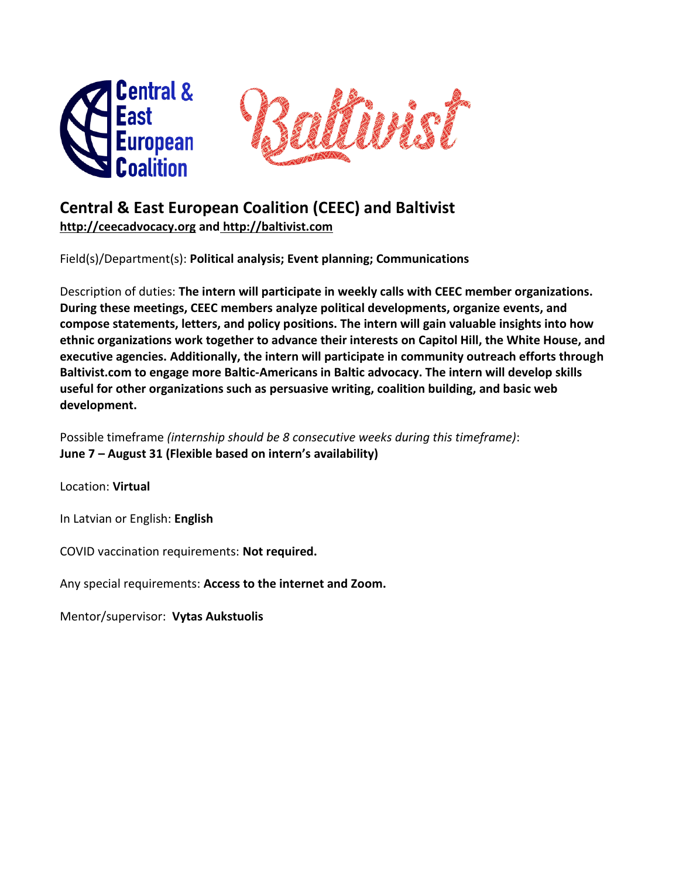



# **Central & East European Coalition (CEEC) and Baltivist**

**[http://ceecadvocacy.org](http://ceecadvocacy.org/) and [http://baltivist.com](http://baltivist.com/)**

Field(s)/Department(s): **Political analysis; Event planning; Communications**

Description of duties: **The intern will participate in weekly calls with CEEC member organizations. During these meetings, CEEC members analyze political developments, organize events, and compose statements, letters, and policy positions. The intern will gain valuable insights into how ethnic organizations work together to advance their interests on Capitol Hill, the White House, and executive agencies. Additionally, the intern will participate in community outreach efforts through Baltivist.com to engage more Baltic-Americans in Baltic advocacy. The intern will develop skills useful for other organizations such as persuasive writing, coalition building, and basic web development.**

Possible timeframe *(internship should be 8 consecutive weeks during this timeframe)*: **June 7 – August 31 (Flexible based on intern's availability)**

Location: **Virtual**

In Latvian or English: **English**

COVID vaccination requirements: **Not required.**

Any special requirements: **Access to the internet and Zoom.**

Mentor/supervisor: **Vytas Aukstuolis**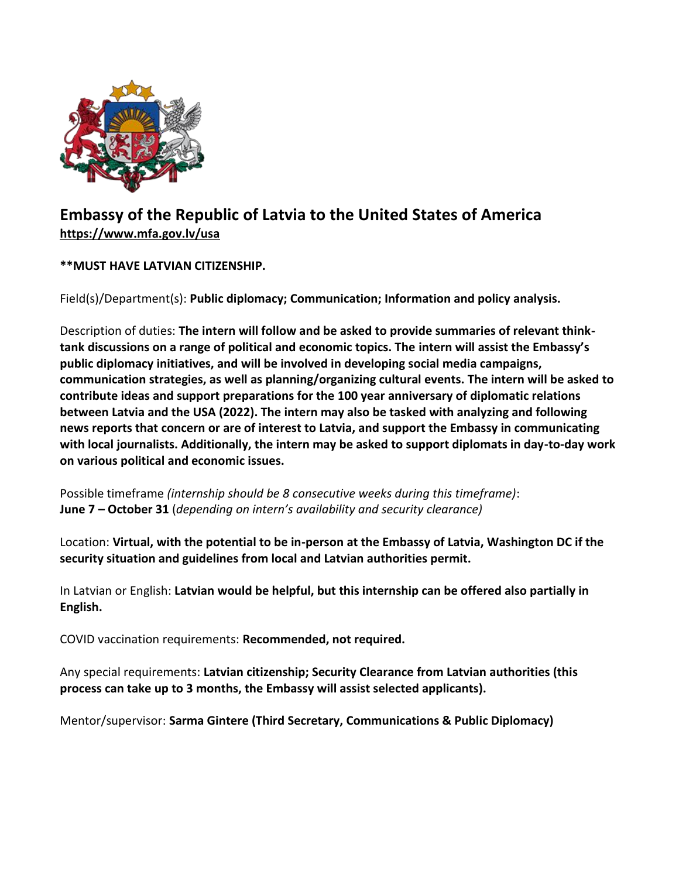

# **Embassy of the Republic of Latvia to the United States of America <https://www.mfa.gov.lv/usa>**

#### **\*\*MUST HAVE LATVIAN CITIZENSHIP.**

Field(s)/Department(s): **Public diplomacy; Communication; Information and policy analysis.**

Description of duties: **The intern will follow and be asked to provide summaries of relevant thinktank discussions on a range of political and economic topics. The intern will assist the Embassy's public diplomacy initiatives, and will be involved in developing social media campaigns, communication strategies, as well as planning/organizing cultural events. The intern will be asked to contribute ideas and support preparations for the 100 year anniversary of diplomatic relations between Latvia and the USA (2022). The intern may also be tasked with analyzing and following news reports that concern or are of interest to Latvia, and support the Embassy in communicating with local journalists. Additionally, the intern may be asked to support diplomats in day-to-day work on various political and economic issues.**

Possible timeframe *(internship should be 8 consecutive weeks during this timeframe)*: **June 7 – October 31** (*depending on intern's availability and security clearance)*

Location: **Virtual, with the potential to be in-person at the Embassy of Latvia, Washington DC if the security situation and guidelines from local and Latvian authorities permit.**

In Latvian or English: **Latvian would be helpful, but this internship can be offered also partially in English.**

COVID vaccination requirements: **Recommended, not required.**

Any special requirements: **Latvian citizenship; Security Clearance from Latvian authorities (this process can take up to 3 months, the Embassy will assist selected applicants).**

Mentor/supervisor: **Sarma Gintere (Third Secretary, Communications & Public Diplomacy)**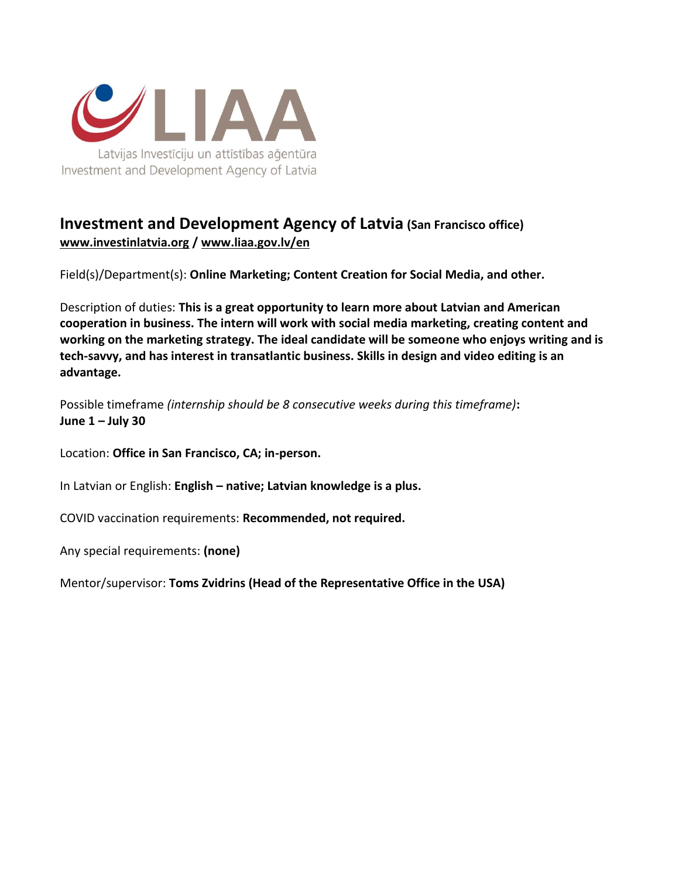

#### **Investment and Development Agency of Latvia (San Francisco office) [www.investinlatvia.org](http://www.investinlatvia.org/) / [www.liaa.gov.lv/en](http://www.liaa.gov.lv/en)**

Field(s)/Department(s): **Online Marketing; Content Creation for Social Media, and other.**

Description of duties: **This is a great opportunity to learn more about Latvian and American cooperation in business. The intern will work with social media marketing, creating content and working on the marketing strategy. The ideal candidate will be someone who enjoys writing and is tech-savvy, and has interest in transatlantic business. Skills in design and video editing is an advantage.**

Possible timeframe *(internship should be 8 consecutive weeks during this timeframe)***: June 1 – July 30**

Location: **Office in San Francisco, CA; in-person.**

In Latvian or English: **English – native; Latvian knowledge is a plus.**

COVID vaccination requirements: **Recommended, not required.**

Any special requirements: **(none)**

Mentor/supervisor: **Toms Zvidrins (Head of the Representative Office in the USA)**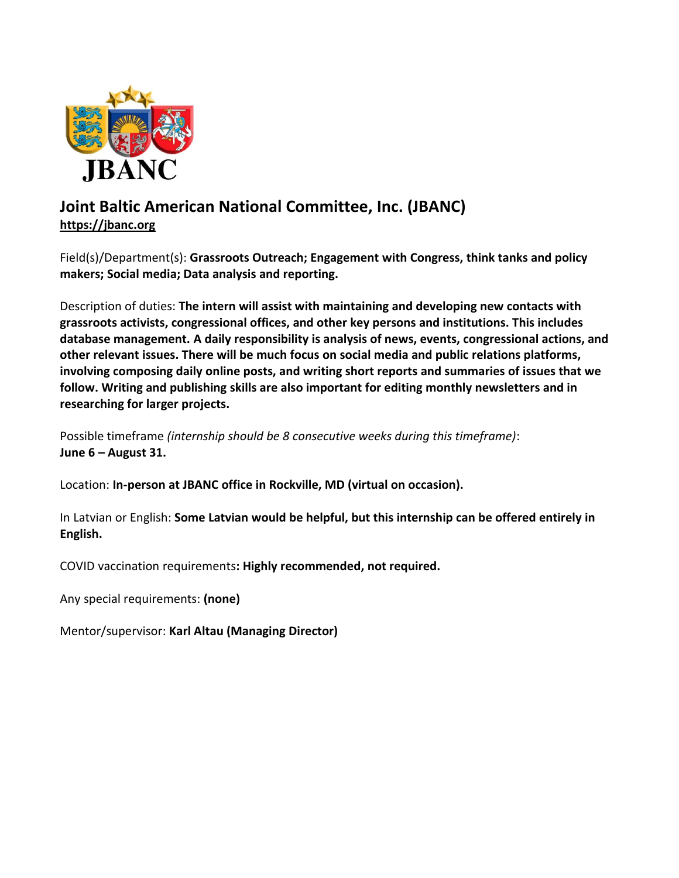

### **Joint Baltic American National Committee, Inc. (JBANC) [https://jbanc.org](https://jbanc.org/)**

Field(s)/Department(s): **Grassroots Outreach; Engagement with Congress, think tanks and policy makers; Social media; Data analysis and reporting.**

Description of duties: **The intern will assist with maintaining and developing new contacts with grassroots activists, congressional offices, and other key persons and institutions. This includes database management. A daily responsibility is analysis of news, events, congressional actions, and other relevant issues. There will be much focus on social media and public relations platforms, involving composing daily online posts, and writing short reports and summaries of issues that we follow. Writing and publishing skills are also important for editing monthly newsletters and in researching for larger projects.**

Possible timeframe *(internship should be 8 consecutive weeks during this timeframe)*: **June 6 – August 31.**

Location: **In-person at JBANC office in Rockville, MD (virtual on occasion).**

In Latvian or English: **Some Latvian would be helpful, but this internship can be offered entirely in English.**

COVID vaccination requirements**: Highly recommended, not required.**

Any special requirements: **(none)**

Mentor/supervisor: **Karl Altau (Managing Director)**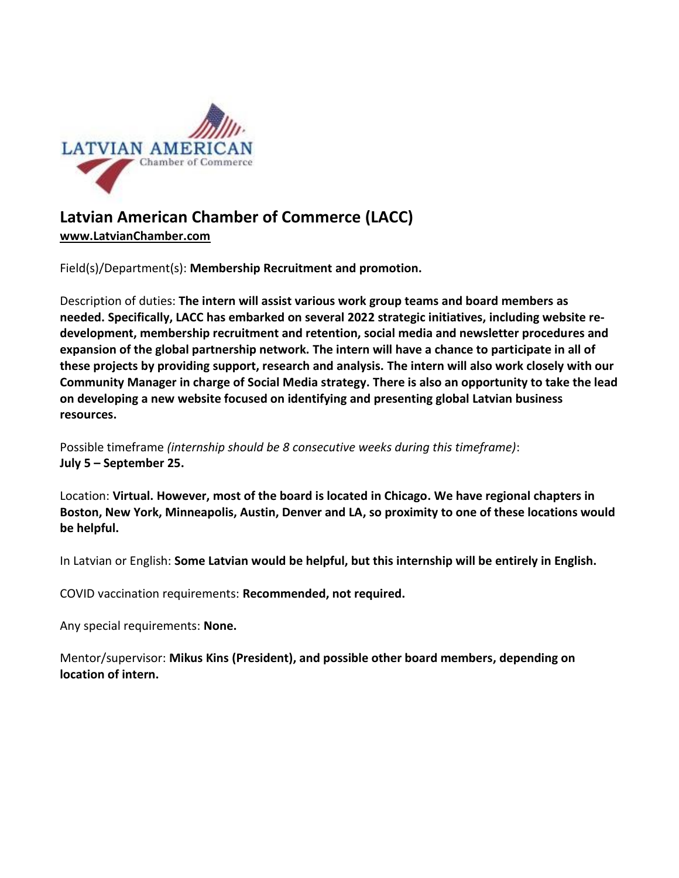

# **Latvian American Chamber of Commerce (LACC)**

**[www.LatvianChamber.com](http://www.latvianchamber.com/)**

Field(s)/Department(s): **Membership Recruitment and promotion.** 

Description of duties: **The intern will assist various work group teams and board members as needed. Specifically, LACC has embarked on several 2022 strategic initiatives, including website redevelopment, membership recruitment and retention, social media and newsletter procedures and expansion of the global partnership network. The intern will have a chance to participate in all of these projects by providing support, research and analysis. The intern will also work closely with our Community Manager in charge of Social Media strategy. There is also an opportunity to take the lead on developing a new website focused on identifying and presenting global Latvian business resources.**

Possible timeframe *(internship should be 8 consecutive weeks during this timeframe)*: **July 5 – September 25.**

Location: **Virtual. However, most of the board is located in Chicago. We have regional chapters in Boston, New York, Minneapolis, Austin, Denver and LA, so proximity to one of these locations would be helpful.** 

In Latvian or English: **Some Latvian would be helpful, but this internship will be entirely in English.**

COVID vaccination requirements: **Recommended, not required.**

Any special requirements: **None.**

Mentor/supervisor: **Mikus Kins (President), and possible other board members, depending on location of intern.**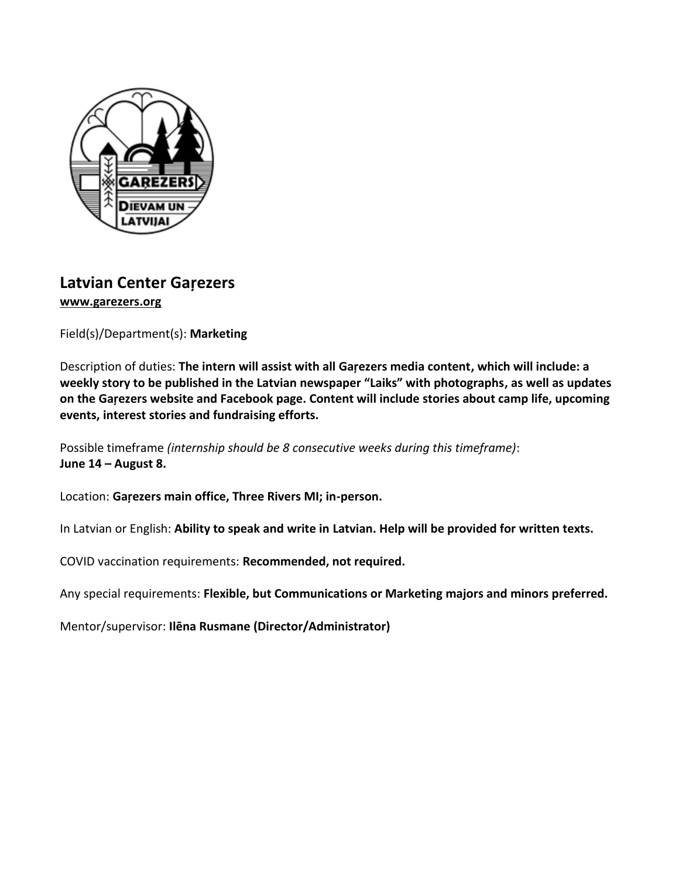

## **Latvian Center Gaŗezers [www.garezers.org](http://www.garezers.org/)**

Field(s)/Department(s): **Marketing**

Description of duties: **The intern will assist with all Gaŗezers media content, which will include: a weekly story to be published in the Latvian newspaper "Laiks" with photographs, as well as updates on the Gaŗezers website and Facebook page. Content will include stories about camp life, upcoming events, interest stories and fundraising efforts.** 

Possible timeframe *(internship should be 8 consecutive weeks during this timeframe)*: **June 14 – August 8.**

Location: **Gaŗezers main office, Three Rivers MI; in-person.**

In Latvian or English: **Ability to speak and write in Latvian. Help will be provided for written texts.** 

COVID vaccination requirements: **Recommended, not required.**

Any special requirements: **Flexible, but Communications or Marketing majors and minors preferred.** 

Mentor/supervisor: **Ilēna Rusmane (Director/Administrator)**